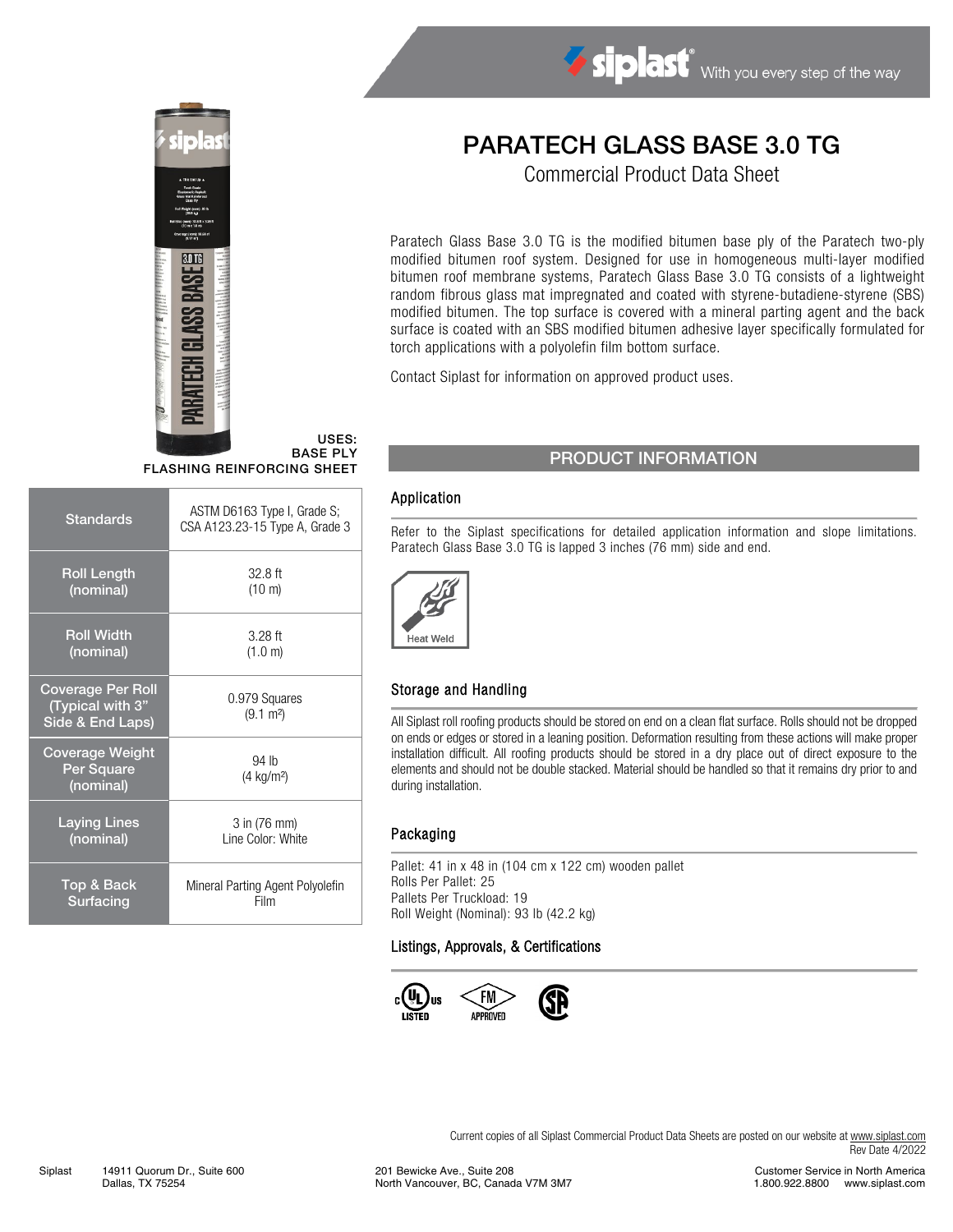

USES: BASE PLY FLASHING REINFORCING SHEET

| <b>Standards</b>                                                 | ASTM D6163 Type I, Grade S;<br>CSA A123.23-15 Type A, Grade 3 |  |  |
|------------------------------------------------------------------|---------------------------------------------------------------|--|--|
| <b>Roll Length</b>                                               | $32.8$ ft                                                     |  |  |
| (nominal)                                                        | $(10 \text{ m})$                                              |  |  |
| <b>Roll Width</b>                                                | $3.28$ ft                                                     |  |  |
| (nominal)                                                        | (1.0 m)                                                       |  |  |
| <b>Coverage Per Roll</b><br>(Typical with 3"<br>Side & End Laps) | 0.979 Squares<br>$(9.1 \text{ m}^2)$                          |  |  |
| Coverage Weight<br>Per Square<br>(nominal)                       | 94 lb<br>$(4 \text{ kg/m}^2)$                                 |  |  |
| <b>Laying Lines</b>                                              | 3 in (76 mm)                                                  |  |  |
| (nominal)                                                        | Line Color: White                                             |  |  |
| Top & Back                                                       | Mineral Parting Agent Polyolefin                              |  |  |
| Surfacing                                                        | Film                                                          |  |  |

# PARATECH GLASS BASE 3.0 TG

Siplast With you every step of the way

Commercial Product Data Sheet

Paratech Glass Base 3.0 TG is the modified bitumen base ply of the Paratech two-ply modified bitumen roof system. Designed for use in homogeneous multi-layer modified bitumen roof membrane systems, Paratech Glass Base 3.0 TG consists of a lightweight random fibrous glass mat impregnated and coated with styrene-butadiene-styrene (SBS) modified bitumen. The top surface is covered with a mineral parting agent and the back surface is coated with an SBS modified bitumen adhesive layer specifically formulated for torch applications with a polyolefin film bottom surface.

Contact Siplast for information on approved product uses.

## PRODUCT INFORMATION

#### Application

Refer to the Siplast specifications for detailed application information and slope limitations. Paratech Glass Base 3.0 TG is lapped 3 inches (76 mm) side and end.



#### Storage and Handling

All Siplast roll roofing products should be stored on end on a clean flat surface. Rolls should not be dropped on ends or edges or stored in a leaning position. Deformation resulting from these actions will make proper installation difficult. All roofing products should be stored in a dry place out of direct exposure to the elements and should not be double stacked. Material should be handled so that it remains dry prior to and during installation.

#### Packaging

Pallet: 41 in x 48 in (104 cm x 122 cm) wooden pallet Rolls Per Pallet: 25 Pallets Per Truckload: 19 Roll Weight (Nominal): 93 lb (42.2 kg)

#### Listings, Approvals, & Certifications



Current copies of all Siplast Commercial Product Data Sheets are posted on our website at [www.siplast.com](http://www.siplast.com/) Rev Date 4/2022